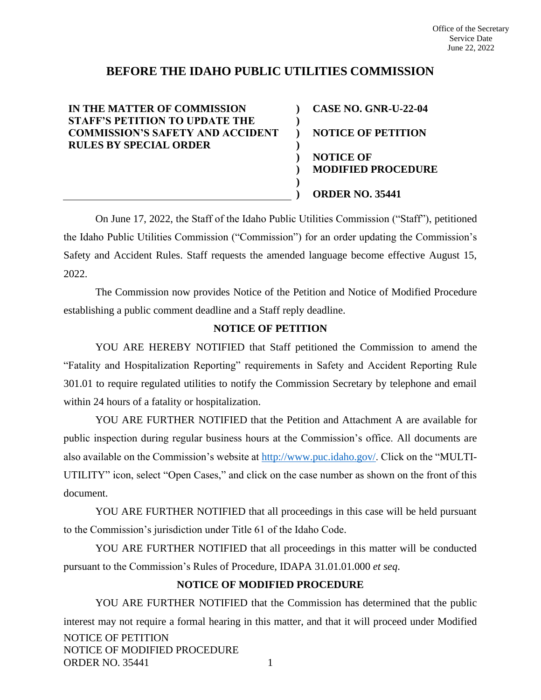# **BEFORE THE IDAHO PUBLIC UTILITIES COMMISSION**

**) ) ) ) ) ) ) )**

**IN THE MATTER OF COMMISSION STAFF'S PETITION TO UPDATE THE COMMISSION'S SAFETY AND ACCIDENT RULES BY SPECIAL ORDER**

**CASE NO. GNR-U-22-04 NOTICE OF PETITION NOTICE OF MODIFIED PROCEDURE ORDER NO. 35441**

On June 17, 2022, the Staff of the Idaho Public Utilities Commission ("Staff"), petitioned the Idaho Public Utilities Commission ("Commission") for an order updating the Commission's Safety and Accident Rules. Staff requests the amended language become effective August 15, 2022.

The Commission now provides Notice of the Petition and Notice of Modified Procedure establishing a public comment deadline and a Staff reply deadline.

## **NOTICE OF PETITION**

YOU ARE HEREBY NOTIFIED that Staff petitioned the Commission to amend the "Fatality and Hospitalization Reporting" requirements in Safety and Accident Reporting Rule 301.01 to require regulated utilities to notify the Commission Secretary by telephone and email within 24 hours of a fatality or hospitalization.

YOU ARE FURTHER NOTIFIED that the Petition and Attachment A are available for public inspection during regular business hours at the Commission's office. All documents are also available on the Commission's website at [http://www.puc.idaho.gov/.](http://www.puc.idaho.gov/) Click on the "MULTI-UTILITY" icon, select "Open Cases," and click on the case number as shown on the front of this document.

YOU ARE FURTHER NOTIFIED that all proceedings in this case will be held pursuant to the Commission's jurisdiction under Title 61 of the Idaho Code.

YOU ARE FURTHER NOTIFIED that all proceedings in this matter will be conducted pursuant to the Commission's Rules of Procedure, IDAPA 31.01.01.000 *et seq*.

#### **NOTICE OF MODIFIED PROCEDURE**

NOTICE OF PETITION NOTICE OF MODIFIED PROCEDURE ORDER NO. 35441 1 YOU ARE FURTHER NOTIFIED that the Commission has determined that the public interest may not require a formal hearing in this matter, and that it will proceed under Modified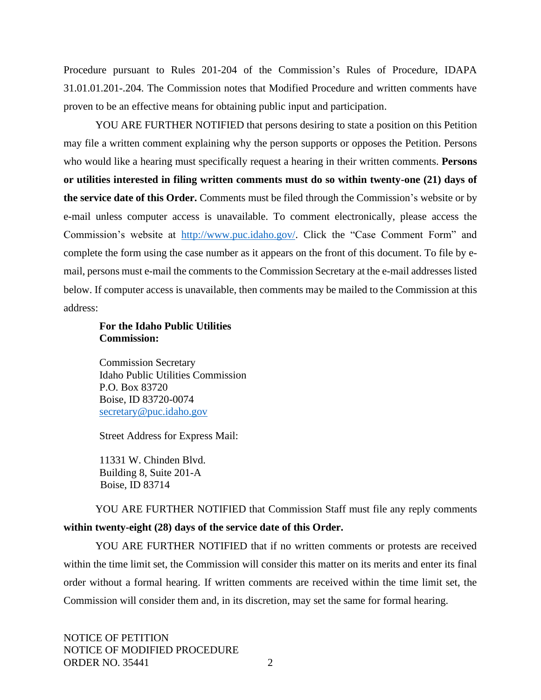Procedure pursuant to Rules 201-204 of the Commission's Rules of Procedure, IDAPA 31.01.01.201-.204. The Commission notes that Modified Procedure and written comments have proven to be an effective means for obtaining public input and participation.

YOU ARE FURTHER NOTIFIED that persons desiring to state a position on this Petition may file a written comment explaining why the person supports or opposes the Petition. Persons who would like a hearing must specifically request a hearing in their written comments. **Persons or utilities interested in filing written comments must do so within twenty-one (21) days of the service date of this Order.** Comments must be filed through the Commission's website or by e-mail unless computer access is unavailable. To comment electronically, please access the Commission's website at [http://www.puc.idaho.gov/.](http://www.puc.idaho.gov/) Click the "Case Comment Form" and complete the form using the case number as it appears on the front of this document. To file by email, persons must e-mail the comments to the Commission Secretary at the e-mail addresses listed below. If computer access is unavailable, then comments may be mailed to the Commission at this address:

### **For the Idaho Public Utilities Commission:**

Commission Secretary Idaho Public Utilities Commission P.O. Box 83720 Boise, ID 83720-0074 [secretary@puc.idaho.gov](mailto:secretary@puc.idaho.gov)

Street Address for Express Mail:

11331 W. Chinden Blvd. Building 8, Suite 201-A Boise, ID 83714

YOU ARE FURTHER NOTIFIED that Commission Staff must file any reply comments **within twenty-eight (28) days of the service date of this Order.**

YOU ARE FURTHER NOTIFIED that if no written comments or protests are received within the time limit set, the Commission will consider this matter on its merits and enter its final order without a formal hearing. If written comments are received within the time limit set, the Commission will consider them and, in its discretion, may set the same for formal hearing.

NOTICE OF PETITION NOTICE OF MODIFIED PROCEDURE ORDER NO. 35441 2